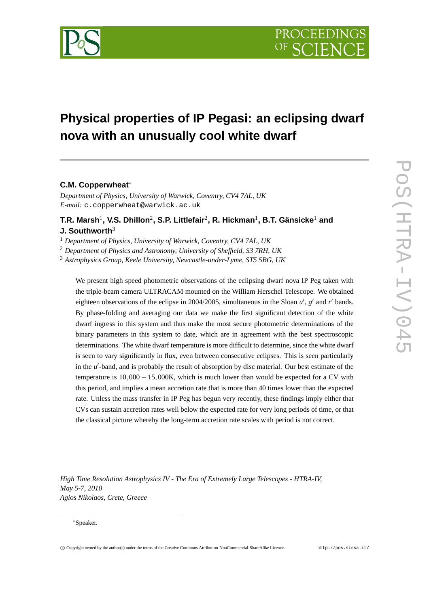

# **Physical properties of IP Pegasi: an eclipsing dwarf nova with an unusually cool white dwarf**

## **C.M. Copperwheat**<sup>∗</sup>

*Department of Physics, University of Warwick, Coventry, CV4 7AL, UK E-mail:* c.copperwheat@warwick.ac.uk

 $\mathbf{T}.\mathbf{R}.$  Marsh $^1$ , V.S. Dhillon $^2$ , S.P. Littlefair $^2$ , R. Hickman $^1$ , B.T. Gänsicke $^1$  and **J. Southworth**<sup>3</sup>

<sup>1</sup> *Department of Physics, University of Warwick, Coventry, CV4 7AL, UK*

<sup>2</sup> *Department of Physics and Astronomy, University of Sheffield, S3 7RH, UK*

<sup>3</sup> *Astrophysics Group, Keele University, Newcastle-under-Lyme, ST5 5BG, UK*

We present high speed photometric observations of the eclipsing dwarf nova IP Peg taken with the triple-beam camera ULTRACAM mounted on the William Herschel Telescope. We obtained eighteen observations of the eclipse in 2004/2005, simultaneous in the Sloan  $u'$ ,  $g'$  and  $r'$  bands. By phase-folding and averaging our data we make the first significant detection of the white dwarf ingress in this system and thus make the most secure photometric determinations of the binary parameters in this system to date, which are in agreement with the best spectroscopic determinations. The white dwarf temperature is more difficult to determine, since the white dwarf is seen to vary significantly in flux, even between consecutive eclipses. This is seen particularly in the *u*'-band, and is probably the result of absorption by disc material. Our best estimate of the temperature is  $10,000 - 15,000K$ , which is much lower than would be expected for a CV with this period, and implies a mean accretion rate that is more than 40 times lower than the expected rate. Unless the mass transfer in IP Peg has begun very recently, these findings imply either that CVs can sustain accretion rates well below the expected rate for very long periods of time, or that the classical picture whereby the long-term accretion rate scales with period is not correct.

*High Time Resolution Astrophysics IV - The Era of Extremely Large Telescopes - HTRA-IV, May 5-7, 2010 Agios Nikolaos, Crete, Greece*

#### <sup>∗</sup>Speaker.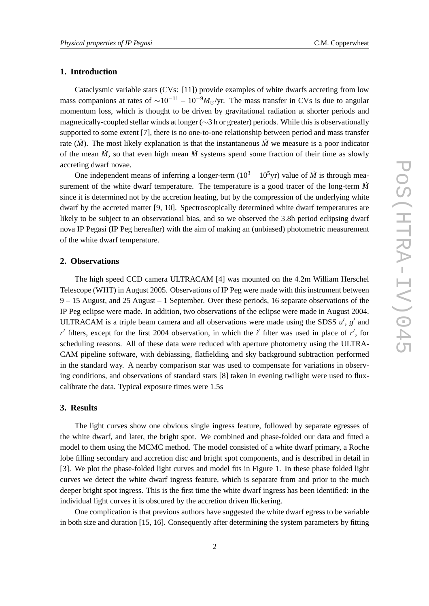### **1. Introduction**

Cataclysmic variable stars (CVs: [11]) provide examples of white dwarfs accreting from low mass companions at rates of  $\sim 10^{-11} - 10^{-9} M_{\odot}/yr$ . The mass transfer in CVs is due to angular momentum loss, which is thought to be driven by gravitational radiation at shorter periods and magnetically-coupled stellar winds at longer (∼3 h or greater) periods. While this is observationally supported to some extent [7], there is no one-to-one relationship between period and mass transfer rate  $(M)$ . The most likely explanation is that the instantaneous  $\dot{M}$  we measure is a poor indicator of the mean  $\dot{M}$ , so that even high mean  $\dot{M}$  systems spend some fraction of their time as slowly accreting dwarf novae.

One independent means of inferring a longer-term  $(10^3 – 10^5$ yr) value of  $\dot{M}$  is through measurement of the white dwarf temperature. The temperature is a good tracer of the long-term  $\dot{M}$ since it is determined not by the accretion heating, but by the compression of the underlying white dwarf by the accreted matter [9, 10]. Spectroscopically determined white dwarf temperatures are likely to be subject to an observational bias, and so we observed the 3.8h period eclipsing dwarf nova IP Pegasi (IP Peg hereafter) with the aim of making an (unbiased) photometric measurement of the white dwarf temperature.

#### **2. Observations**

The high speed CCD camera ULTRACAM [4] was mounted on the 4.2m William Herschel Telescope (WHT) in August 2005. Observations of IP Peg were made with this instrument between 9 – 15 August, and 25 August – 1 September. Over these periods, 16 separate observations of the IP Peg eclipse were made. In addition, two observations of the eclipse were made in August 2004. ULTRACAM is a triple beam camera and all observations were made using the SDSS  $u'$ ,  $g'$  and *r*<sup>'</sup> filters, except for the first 2004 observation, in which the *i*<sup>'</sup> filter was used in place of *r*<sup>'</sup>, for scheduling reasons. All of these data were reduced with aperture photometry using the ULTRA-CAM pipeline software, with debiassing, flatfielding and sky background subtraction performed in the standard way. A nearby comparison star was used to compensate for variations in observing conditions, and observations of standard stars [8] taken in evening twilight were used to fluxcalibrate the data. Typical exposure times were 1.5s

#### **3. Results**

The light curves show one obvious single ingress feature, followed by separate egresses of the white dwarf, and later, the bright spot. We combined and phase-folded our data and fitted a model to them using the MCMC method. The model consisted of a white dwarf primary, a Roche lobe filling secondary and accretion disc and bright spot components, and is described in detail in [3]. We plot the phase-folded light curves and model fits in Figure 1. In these phase folded light curves we detect the white dwarf ingress feature, which is separate from and prior to the much deeper bright spot ingress. This is the first time the white dwarf ingress has been identified: in the individual light curves it is obscured by the accretion driven flickering.

One complication is that previous authors have suggested the white dwarf egress to be variable in both size and duration [15, 16]. Consequently after determining the system parameters by fitting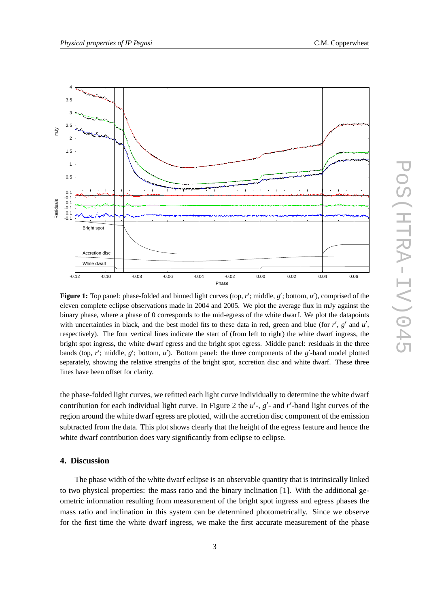

**Figure 1:** Top panel: phase-folded and binned light curves (top,  $r'$ ; middle,  $g'$ ; bottom,  $u'$ ), comprised of the eleven complete eclipse observations made in 2004 and 2005. We plot the average flux in mJy against the binary phase, where a phase of 0 corresponds to the mid-egress of the white dwarf. We plot the datapoints with uncertainties in black, and the best model fits to these data in red, green and blue (for  $r'$ ,  $g'$  and  $u'$ , respectively). The four vertical lines indicate the start of (from left to right) the white dwarf ingress, the bright spot ingress, the white dwarf egress and the bright spot egress. Middle panel: residuals in the three bands (top,  $r'$ ; middle,  $g'$ ; bottom,  $u'$ ). Bottom panel: the three components of the  $g'$ -band model plotted separately, showing the relative strengths of the bright spot, accretion disc and white dwarf. These three lines have been offset for clarity.

the phase-folded light curves, we refitted each light curve individually to determine the white dwarf contribution for each individual light curve. In Figure 2 the  $u'$ -,  $g'$ - and r'-band light curves of the region around the white dwarf egress are plotted, with the accretion disc component of the emission subtracted from the data. This plot shows clearly that the height of the egress feature and hence the white dwarf contribution does vary significantly from eclipse to eclipse.

#### **4. Discussion**

The phase width of the white dwarf eclipse is an observable quantity that is intrinsically linked to two physical properties: the mass ratio and the binary inclination [1]. With the additional geometric information resulting from measurement of the bright spot ingress and egress phases the mass ratio and inclination in this system can be determined photometrically. Since we observe for the first time the white dwarf ingress, we make the first accurate measurement of the phase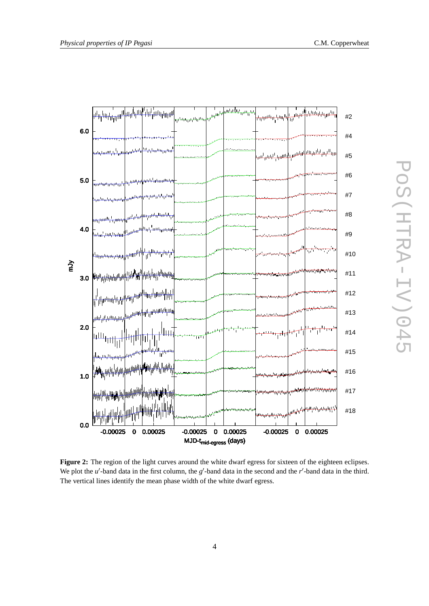



**Figure 2:** The region of the light curves around the white dwarf egress for sixteen of the eighteen eclipses. We plot the  $u'$ -band data in the first column, the  $g'$ -band data in the second and the  $r'$ -band data in the third. The vertical lines identify the mean phase width of the white dwarf egress.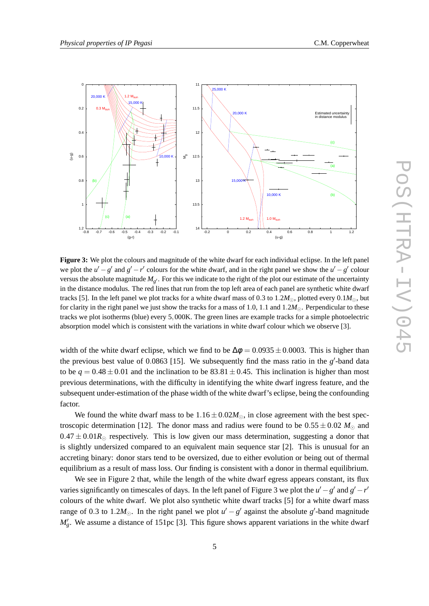

**Figure 3:** We plot the colours and magnitude of the white dwarf for each individual eclipse. In the left panel we plot the  $u' - g'$  and  $g' - r'$  colours for the white dwarf, and in the right panel we show the  $u' - g'$  colour versus the absolute magnitude  $M_{g'}$ . For this we indicate to the right of the plot our estimate of the uncertainty in the distance modulus. The red lines that run from the top left area of each panel are synthetic white dwarf tracks [5]. In the left panel we plot tracks for a white dwarf mass of 0.3 to 1.2 $M_{\odot}$ , plotted every 0.1 $M_{\odot}$ , but for clarity in the right panel we just show the tracks for a mass of 1.0, 1.1 and 1.2*M*⊙. Perpendicular to these tracks we plot isotherms (blue) every 5,000K. The green lines are example tracks for a simple photoelectric absorption model which is consistent with the variations in white dwarf colour which we observe [3].

width of the white dwarf eclipse, which we find to be  $\Delta \phi = 0.0935 \pm 0.0003$ . This is higher than the previous best value of  $0.0863$  [15]. We subsequently find the mass ratio in the  $g'$ -band data to be  $q = 0.48 \pm 0.01$  and the inclination to be  $83.81 \pm 0.45$ . This inclination is higher than most previous determinations, with the difficulty in identifying the white dwarf ingress feature, and the subsequent under-estimation of the phase width of the white dwarf's eclipse, being the confounding factor.

We found the white dwarf mass to be  $1.16 \pm 0.02 M_{\odot}$ , in close agreement with the best spectroscopic determination [12]. The donor mass and radius were found to be  $0.55 \pm 0.02$  *M*<sub>☉</sub> and  $0.47 \pm 0.01R_{\odot}$  respectively. This is low given our mass determination, suggesting a donor that is slightly undersized compared to an equivalent main sequence star [2]. This is unusual for an accreting binary: donor stars tend to be oversized, due to either evolution or being out of thermal equilibrium as a result of mass loss. Our finding is consistent with a donor in thermal equilibrium.

We see in Figure 2 that, while the length of the white dwarf egress appears constant, its flux varies significantly on timescales of days. In the left panel of Figure 3 we plot the  $u' - g'$  and  $g' - r'$ colours of the white dwarf. We plot also synthetic white dwarf tracks [5] for a white dwarf mass range of 0.3 to 1.2 $M_{\odot}$ . In the right panel we plot  $u' - g'$  against the absolute g'-band magnitude *M*<sup> $'$ </sup><sub>g</sub>. We assume a distance of 151pc [3]. This figure shows apparent variations in the white dwarf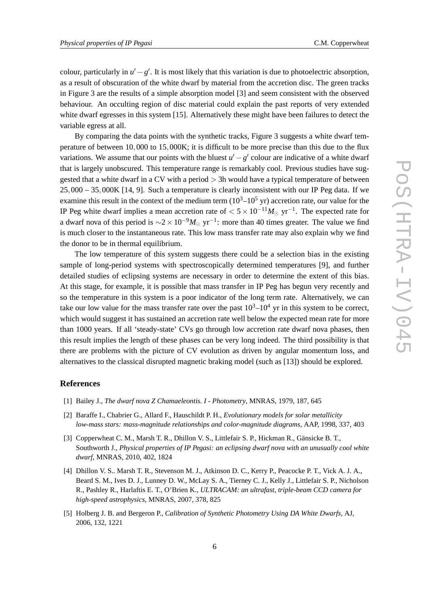colour, particularly in  $u' - g'$ . It is most likely that this variation is due to photoelectric absorption, as a result of obscuration of the white dwarf by material from the accretion disc. The green tracks in Figure 3 are the results of a simple absorption model [3] and seem consistent with the observed behaviour. An occulting region of disc material could explain the past reports of very extended white dwarf egresses in this system [15]. Alternatively these might have been failures to detect the variable egress at all.

By comparing the data points with the synthetic tracks, Figure 3 suggests a white dwarf temperature of between 10,000 to 15,000K; it is difficult to be more precise than this due to the flux variations. We assume that our points with the bluest  $u' - g'$  colour are indicative of a white dwarf that is largely unobscured. This temperature range is remarkably cool. Previous studies have suggested that a white dwarf in a CV with a period  $> 3h$  would have a typical temperature of between 25,000 – 35,000K [14, 9]. Such a temperature is clearly inconsistent with our IP Peg data. If we examine this result in the context of the medium term  $(10^3 - 10^5 \text{ yr})$  accretion rate, our value for the IP Peg white dwarf implies a mean accretion rate of  $< 5 \times 10^{-11} M_{\odot}$  yr<sup>-1</sup>. The expected rate for a dwarf nova of this period is  $\sim$ 2 × 10<sup>-9</sup> $M_{\odot}$  yr<sup>-1</sup>: more than 40 times greater. The value we find is much closer to the instantaneous rate. This low mass transfer rate may also explain why we find the donor to be in thermal equilibrium.

The low temperature of this system suggests there could be a selection bias in the existing sample of long-period systems with spectroscopically determined temperatures [9], and further detailed studies of eclipsing systems are necessary in order to determine the extent of this bias. At this stage, for example, it is possible that mass transfer in IP Peg has begun very recently and so the temperature in this system is a poor indicator of the long term rate. Alternatively, we can take our low value for the mass transfer rate over the past  $10^3 - 10^4$  yr in this system to be correct, which would suggest it has sustained an accretion rate well below the expected mean rate for more than 1000 years. If all 'steady-state' CVs go through low accretion rate dwarf nova phases, then this result implies the length of these phases can be very long indeed. The third possibility is that there are problems with the picture of CV evolution as driven by angular momentum loss, and alternatives to the classical disrupted magnetic braking model (such as [13]) should be explored.

#### **References**

- [1] Bailey J., *The dwarf nova Z Chamaeleontis. I Photometry*, MNRAS, 1979, 187, 645
- [2] Baraffe I., Chabrier G., Allard F., Hauschildt P. H., *Evolutionary models for solar metallicity low-mass stars: mass-magnitude relationships and color-magnitude diagrams*, AAP, 1998, 337, 403
- [3] Copperwheat C. M., Marsh T. R., Dhillon V. S., Littlefair S. P., Hickman R., Gänsicke B. T., Southworth J., *Physical properties of IP Pegasi: an eclipsing dwarf nova with an unusually cool white dwarf*, MNRAS, 2010, 402, 1824
- [4] Dhillon V. S.. Marsh T. R., Stevenson M. J., Atkinson D. C., Kerry P., Peacocke P. T., Vick A. J. A., Beard S. M., Ives D. J., Lunney D. W., McLay S. A., Tierney C. J., Kelly J., Littlefair S. P., Nicholson R., Pashley R., Harlaftis E. T., O'Brien K., *ULTRACAM: an ultrafast, triple-beam CCD camera for high-speed astrophysics*, MNRAS, 2007, 378, 825
- [5] Holberg J. B. and Bergeron P., *Calibration of Synthetic Photometry Using DA White Dwarfs*, AJ, 2006, 132, 1221